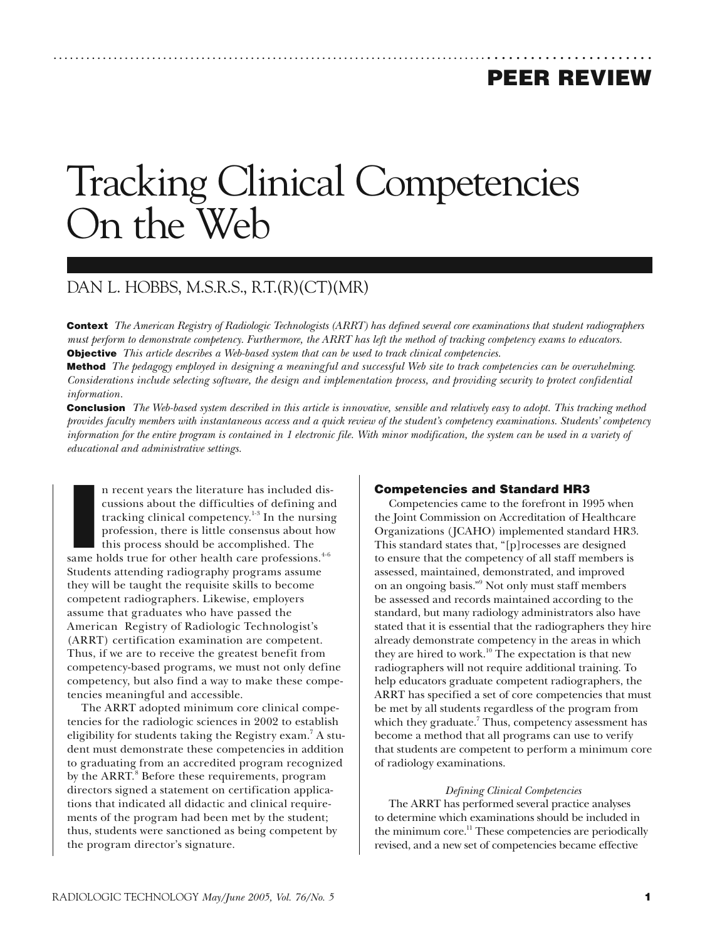# **PEER REVIEW**

# Tracking Clinical Competencies On the Web

# DAN L. HOBBS, M.S.R.S., R.T.(R)(CT)(MR)

**Context** *The American Registry of Radiologic Technologists (ARRT) has defined several core examinations that student radiographers must perform to demonstrate competency. Furthermore, the ARRT has left the method of tracking competency exams to educators.* **Objective** *This article describes a Web-based system that can be used to track clinical competencies.*

......................................................................................................

**Method** *The pedagogy employed in designing a meaningful and successful Web site to track competencies can be overwhelming. Considerations include selecting software, the design and implementation process, and providing security to protect confidential information.*

**Conclusion** *The Web-based system described in this article is innovative, sensible and relatively easy to adopt. This tracking method provides faculty members with instantaneous access and a quick review of the student's competency examinations. Students' competency information for the entire program is contained in 1 electronic file. With minor modification, the system can be used in a variety of educational and administrative settings.*

n recent years the literature has included discussions about the difficulties of defining an tracking clinical competency.<sup>1-8</sup> In the nursin profession, there is little consensus about how this process should be accomplis n recent years the literature has included discussions about the difficulties of defining and tracking clinical competency.<sup>1-3</sup> In the nursing profession, there is little consensus about how this process should be accomplished. The Students attending radiography programs assume they will be taught the requisite skills to become competent radiographers. Likewise, employers assume that graduates who have passed the American Registry of Radiologic Technologist's (ARRT) certification examination are competent. Thus, if we are to receive the greatest benefit from competency-based programs, we must not only define competency, but also find a way to make these competencies meaningful and accessible.

The ARRT adopted minimum core clinical competencies for the radiologic sciences in 2002 to establish eligibility for students taking the Registry exam.<sup>7</sup> A student must demonstrate these competencies in addition to graduating from an accredited program recognized by the ARRT.<sup>8</sup> Before these requirements, program directors signed a statement on certification applications that indicated all didactic and clinical requirements of the program had been met by the student; thus, students were sanctioned as being competent by the program director's signature.

# **Competencies and Standard HR3**

Competencies came to the forefront in 1995 when the Joint Commission on Accreditation of Healthcare Organizations (JCAHO) implemented standard HR3. This standard states that, "[p]rocesses are designed to ensure that the competency of all staff members is assessed, maintained, demonstrated, and improved on an ongoing basis."9 Not only must staff members be assessed and records maintained according to the standard, but many radiology administrators also have stated that it is essential that the radiographers they hire already demonstrate competency in the areas in which they are hired to work.<sup>10</sup> The expectation is that new radiographers will not require additional training. To help educators graduate competent radiographers, the ARRT has specified a set of core competencies that must be met by all students regardless of the program from which they graduate.<sup>7</sup> Thus, competency assessment has become a method that all programs can use to verify that students are competent to perform a minimum core of radiology examinations.

#### *Defining Clinical Competencies*

The ARRT has performed several practice analyses to determine which examinations should be included in the minimum core.<sup>11</sup> These competencies are periodically revised, and a new set of competencies became effective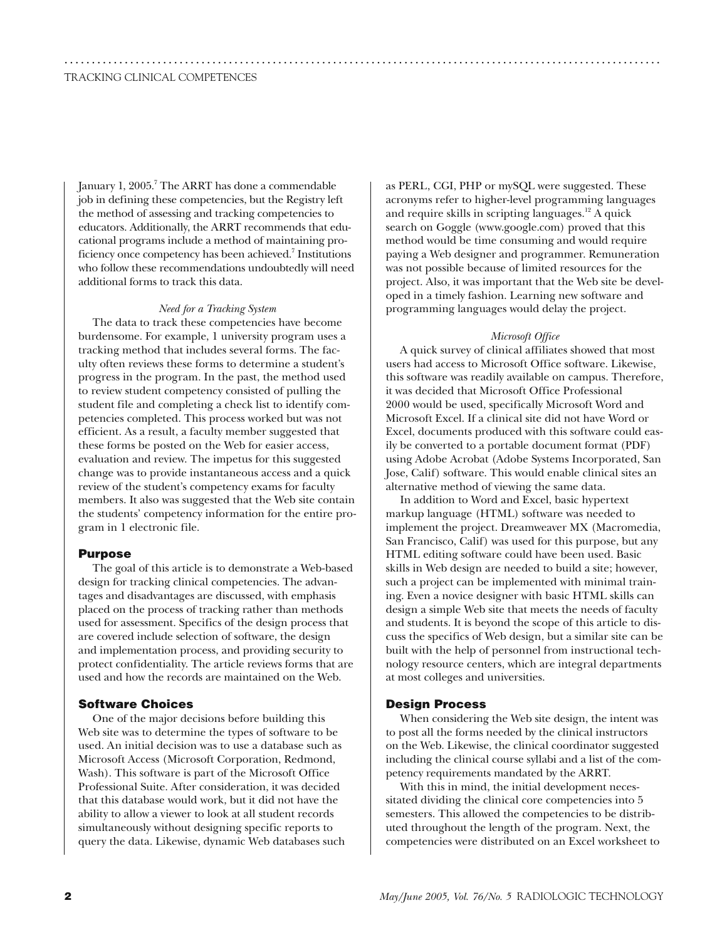January 1, 2005.<sup>7</sup> The ARRT has done a commendable job in defining these competencies, but the Registry left the method of assessing and tracking competencies to educators. Additionally, the ARRT recommends that educational programs include a method of maintaining proficiency once competency has been achieved.<sup>7</sup> Institutions who follow these recommendations undoubtedly will need additional forms to track this data.

.............................................................................................................

#### *Need for a Tracking System*

The data to track these competencies have become burdensome. For example, 1 university program uses a tracking method that includes several forms. The faculty often reviews these forms to determine a student's progress in the program. In the past, the method used to review student competency consisted of pulling the student file and completing a check list to identify competencies completed. This process worked but was not efficient. As a result, a faculty member suggested that these forms be posted on the Web for easier access, evaluation and review. The impetus for this suggested change was to provide instantaneous access and a quick review of the student's competency exams for faculty members. It also was suggested that the Web site contain the students' competency information for the entire program in 1 electronic file.

## **Purpose**

The goal of this article is to demonstrate a Web-based design for tracking clinical competencies. The advantages and disadvantages are discussed, with emphasis placed on the process of tracking rather than methods used for assessment. Specifics of the design process that are covered include selection of software, the design and implementation process, and providing security to protect confidentiality. The article reviews forms that are used and how the records are maintained on the Web.

# **Software Choices**

One of the major decisions before building this Web site was to determine the types of software to be used. An initial decision was to use a database such as Microsoft Access (Microsoft Corporation, Redmond, Wash). This software is part of the Microsoft Office Professional Suite. After consideration, it was decided that this database would work, but it did not have the ability to allow a viewer to look at all student records simultaneously without designing specific reports to query the data. Likewise, dynamic Web databases such as PERL, CGI, PHP or mySQL were suggested. These acronyms refer to higher-level programming languages and require skills in scripting languages.<sup>12</sup> A quick search on Goggle (www.google.com) proved that this method would be time consuming and would require paying a Web designer and programmer. Remuneration was not possible because of limited resources for the project. Also, it was important that the Web site be developed in a timely fashion. Learning new software and programming languages would delay the project.

#### *Microsoft Office*

A quick survey of clinical affiliates showed that most users had access to Microsoft Office software. Likewise, this software was readily available on campus. Therefore, it was decided that Microsoft Office Professional 2000 would be used, specifically Microsoft Word and Microsoft Excel. If a clinical site did not have Word or Excel, documents produced with this software could easily be converted to a portable document format (PDF) using Adobe Acrobat (Adobe Systems Incorporated, San Jose, Calif) software. This would enable clinical sites an alternative method of viewing the same data.

In addition to Word and Excel, basic hypertext markup language (HTML) software was needed to implement the project. Dreamweaver MX (Macromedia, San Francisco, Calif) was used for this purpose, but any HTML editing software could have been used. Basic skills in Web design are needed to build a site; however, such a project can be implemented with minimal training. Even a novice designer with basic HTML skills can design a simple Web site that meets the needs of faculty and students. It is beyond the scope of this article to discuss the specifics of Web design, but a similar site can be built with the help of personnel from instructional technology resource centers, which are integral departments at most colleges and universities.

#### **Design Process**

When considering the Web site design, the intent was to post all the forms needed by the clinical instructors on the Web. Likewise, the clinical coordinator suggested including the clinical course syllabi and a list of the competency requirements mandated by the ARRT.

With this in mind, the initial development necessitated dividing the clinical core competencies into 5 semesters. This allowed the competencies to be distributed throughout the length of the program. Next, the competencies were distributed on an Excel worksheet to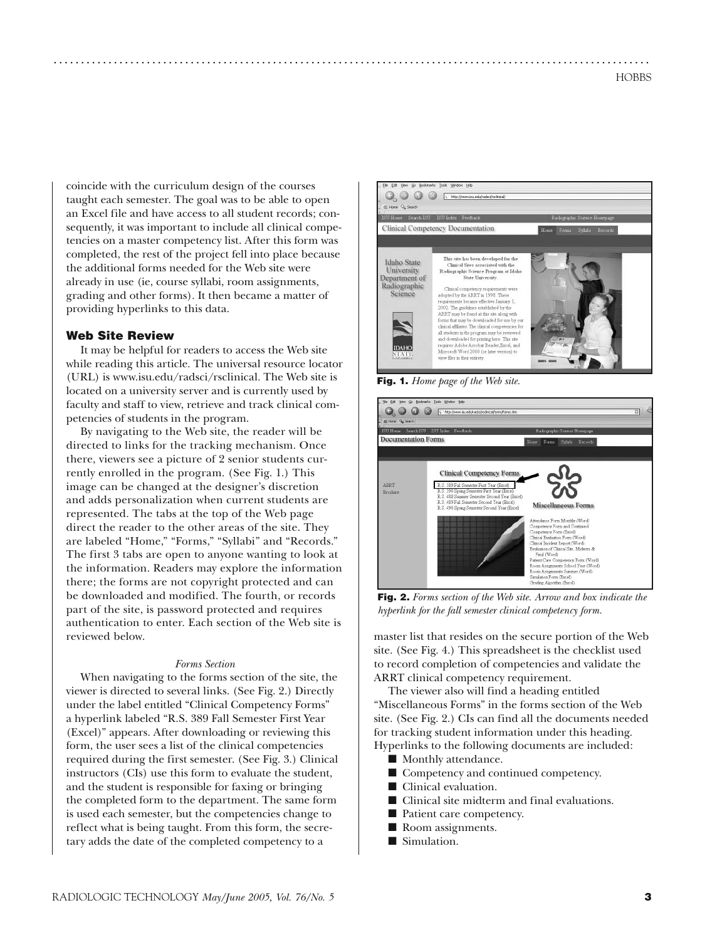coincide with the curriculum design of the courses taught each semester. The goal was to be able to open an Excel file and have access to all student records; consequently, it was important to include all clinical competencies on a master competency list. After this form was completed, the rest of the project fell into place because the additional forms needed for the Web site were already in use (ie, course syllabi, room assignments, grading and other forms). It then became a matter of providing hyperlinks to this data.

# **Web Site Review**

It may be helpful for readers to access the Web site while reading this article. The universal resource locator (URL) is www.isu.edu/radsci/rsclinical. The Web site is located on a university server and is currently used by faculty and staff to view, retrieve and track clinical competencies of students in the program.

By navigating to the Web site, the reader will be directed to links for the tracking mechanism. Once there, viewers see a picture of 2 senior students currently enrolled in the program. (See Fig. 1.) This image can be changed at the designer's discretion and adds personalization when current students are represented. The tabs at the top of the Web page direct the reader to the other areas of the site. They are labeled "Home," "Forms," "Syllabi" and "Records." The first 3 tabs are open to anyone wanting to look at the information. Readers may explore the information there; the forms are not copyright protected and can be downloaded and modified. The fourth, or records part of the site, is password protected and requires authentication to enter. Each section of the Web site is reviewed below.

#### *Forms Section*

When navigating to the forms section of the site, the viewer is directed to several links. (See Fig. 2.) Directly under the label entitled "Clinical Competency Forms" a hyperlink labeled "R.S. 389 Fall Semester First Year (Excel)" appears. After downloading or reviewing this form, the user sees a list of the clinical competencies required during the first semester. (See Fig. 3.) Clinical instructors (CIs) use this form to evaluate the student, and the student is responsible for faxing or bringing the completed form to the department. The same form is used each semester, but the competencies change to reflect what is being taught. From this form, the secretary adds the date of the completed competency to a



**Fig. 1.** *Home page of the Web site.*

.............................................................................................................



**Fig. 2.** *Forms section of the Web site. Arrow and box indicate the hyperlink for the fall semester clinical competency form.*

master list that resides on the secure portion of the Web site. (See Fig. 4.) This spreadsheet is the checklist used to record completion of competencies and validate the ARRT clinical competency requirement.

The viewer also will find a heading entitled "Miscellaneous Forms" in the forms section of the Web site. (See Fig. 2.) CIs can find all the documents needed for tracking student information under this heading. Hyperlinks to the following documents are included:

- Monthly attendance.
- Competency and continued competency.
- Clinical evaluation.
- Clinical site midterm and final evaluations.
- Patient care competency.
- Room assignments.
- Simulation.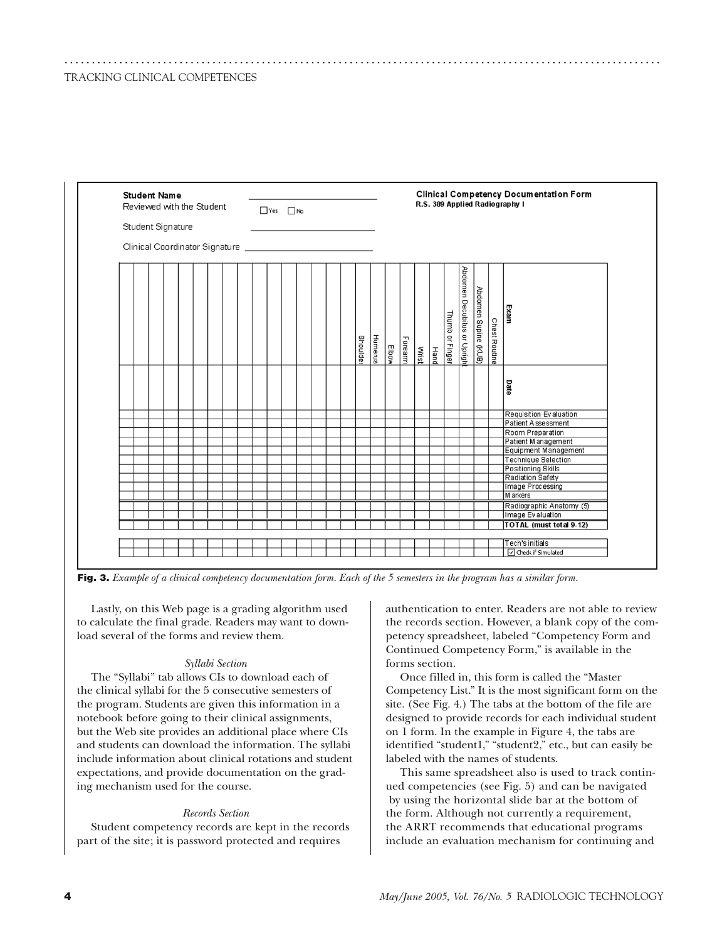| <b>Student Name</b>       |  |  |  |                   |                                |  |  |  |  |  |  |  |  |                                |                 |                |       | <b>Clinical Competency Documentation Form</b> |       |             |                 |                             |                      |                      |                            |
|---------------------------|--|--|--|-------------------|--------------------------------|--|--|--|--|--|--|--|--|--------------------------------|-----------------|----------------|-------|-----------------------------------------------|-------|-------------|-----------------|-----------------------------|----------------------|----------------------|----------------------------|
| Reviewed with the Student |  |  |  |                   | $\Box$ Yes $\Box$ No           |  |  |  |  |  |  |  |  | R.S. 389 Applied Radiography I |                 |                |       |                                               |       |             |                 |                             |                      |                      |                            |
|                           |  |  |  | Student Signature |                                |  |  |  |  |  |  |  |  |                                |                 |                |       |                                               |       |             |                 |                             |                      |                      |                            |
|                           |  |  |  |                   |                                |  |  |  |  |  |  |  |  |                                |                 |                |       |                                               |       |             |                 |                             |                      |                      |                            |
|                           |  |  |  |                   | Clinical Coordinator Signature |  |  |  |  |  |  |  |  |                                |                 |                |       |                                               |       |             |                 |                             |                      |                      |                            |
|                           |  |  |  |                   |                                |  |  |  |  |  |  |  |  |                                |                 |                |       |                                               |       |             |                 |                             |                      |                      |                            |
|                           |  |  |  |                   |                                |  |  |  |  |  |  |  |  |                                |                 |                |       |                                               |       |             |                 |                             |                      |                      |                            |
|                           |  |  |  |                   |                                |  |  |  |  |  |  |  |  |                                |                 |                |       |                                               |       |             |                 |                             |                      |                      |                            |
|                           |  |  |  |                   |                                |  |  |  |  |  |  |  |  |                                |                 |                |       |                                               |       |             |                 |                             |                      |                      |                            |
|                           |  |  |  |                   |                                |  |  |  |  |  |  |  |  |                                |                 |                |       |                                               |       |             |                 |                             |                      |                      |                            |
|                           |  |  |  |                   |                                |  |  |  |  |  |  |  |  |                                |                 |                |       |                                               |       |             |                 |                             |                      |                      |                            |
|                           |  |  |  |                   |                                |  |  |  |  |  |  |  |  |                                |                 |                |       |                                               |       |             |                 |                             |                      |                      | Exam                       |
|                           |  |  |  |                   |                                |  |  |  |  |  |  |  |  |                                |                 |                |       |                                               |       |             |                 |                             |                      |                      |                            |
|                           |  |  |  |                   |                                |  |  |  |  |  |  |  |  |                                |                 |                |       |                                               |       |             |                 |                             |                      |                      |                            |
|                           |  |  |  |                   |                                |  |  |  |  |  |  |  |  |                                | <b>Shoulder</b> | <b>Humerus</b> |       | Forearm                                       |       |             | Thumb or Finger | Abdomen Decubitus or Uprigh | Abdomen Supine (KUB) | <b>Chest Routine</b> |                            |
|                           |  |  |  |                   |                                |  |  |  |  |  |  |  |  |                                |                 |                | Elbow |                                               | Wrist | <b>Hand</b> |                 |                             |                      |                      |                            |
|                           |  |  |  |                   |                                |  |  |  |  |  |  |  |  |                                |                 |                |       |                                               |       |             |                 |                             |                      |                      |                            |
|                           |  |  |  |                   |                                |  |  |  |  |  |  |  |  |                                |                 |                |       |                                               |       |             |                 |                             |                      |                      |                            |
|                           |  |  |  |                   |                                |  |  |  |  |  |  |  |  |                                |                 |                |       |                                               |       |             |                 |                             |                      |                      |                            |
|                           |  |  |  |                   |                                |  |  |  |  |  |  |  |  |                                |                 |                |       |                                               |       |             |                 |                             |                      |                      | Date                       |
|                           |  |  |  |                   |                                |  |  |  |  |  |  |  |  |                                |                 |                |       |                                               |       |             |                 |                             |                      |                      |                            |
|                           |  |  |  |                   |                                |  |  |  |  |  |  |  |  |                                |                 |                |       |                                               |       |             |                 |                             |                      |                      |                            |
|                           |  |  |  |                   |                                |  |  |  |  |  |  |  |  |                                |                 |                |       |                                               |       |             |                 |                             |                      |                      | Requisition Evaluation     |
|                           |  |  |  |                   |                                |  |  |  |  |  |  |  |  |                                |                 |                |       |                                               |       |             |                 |                             |                      |                      | Patient Assessment         |
|                           |  |  |  |                   |                                |  |  |  |  |  |  |  |  |                                |                 |                |       |                                               |       |             |                 |                             |                      |                      | Room Preparation           |
|                           |  |  |  |                   |                                |  |  |  |  |  |  |  |  |                                |                 |                |       |                                               |       |             |                 |                             |                      |                      | Patient Management         |
|                           |  |  |  |                   |                                |  |  |  |  |  |  |  |  |                                |                 |                |       |                                               |       |             |                 |                             |                      |                      | Equipment Management       |
|                           |  |  |  |                   |                                |  |  |  |  |  |  |  |  |                                |                 |                |       |                                               |       |             |                 |                             |                      |                      | <b>Technique Selection</b> |
|                           |  |  |  |                   |                                |  |  |  |  |  |  |  |  |                                |                 |                |       |                                               |       |             |                 |                             |                      |                      | <b>Positioning Skills</b>  |
|                           |  |  |  |                   |                                |  |  |  |  |  |  |  |  |                                |                 |                |       |                                               |       |             |                 |                             |                      |                      | Radiation Safety           |
|                           |  |  |  |                   |                                |  |  |  |  |  |  |  |  |                                |                 |                |       |                                               |       |             |                 |                             |                      |                      | Image Processing           |
|                           |  |  |  |                   |                                |  |  |  |  |  |  |  |  |                                |                 |                |       |                                               |       |             |                 |                             |                      |                      | M arkers                   |
|                           |  |  |  |                   |                                |  |  |  |  |  |  |  |  |                                |                 |                |       |                                               |       |             |                 |                             |                      |                      | Radiographic Anatomy (5)   |
|                           |  |  |  |                   |                                |  |  |  |  |  |  |  |  |                                |                 |                |       |                                               |       |             |                 |                             |                      |                      | Image Evaluation           |
|                           |  |  |  |                   |                                |  |  |  |  |  |  |  |  |                                |                 |                |       |                                               |       |             |                 |                             |                      |                      | TOTAL (must total 9-12)    |
|                           |  |  |  |                   |                                |  |  |  |  |  |  |  |  |                                |                 |                |       |                                               |       |             |                 |                             |                      |                      |                            |
|                           |  |  |  |                   |                                |  |  |  |  |  |  |  |  |                                |                 |                |       |                                               |       |             |                 |                             |                      |                      | Tech's initials            |
|                           |  |  |  |                   |                                |  |  |  |  |  |  |  |  |                                |                 |                |       |                                               |       |             |                 |                             |                      |                      | O Check if Simulated       |

.............................................................................................................



Lastly, on this Web page is a grading algorithm used to calculate the final grade. Readers may want to download several of the forms and review them.

#### *Syllabi Section*

The "Syllabi" tab allows CIs to download each of the clinical syllabi for the 5 consecutive semesters of the program. Students are given this information in a notebook before going to their clinical assignments, but the Web site provides an additional place where CIs and students can download the information. The syllabi include information about clinical rotations and student expectations, and provide documentation on the grading mechanism used for the course.

#### *Records Section*

Student competency records are kept in the records part of the site; it is password protected and requires

authentication to enter. Readers are not able to review the records section. However, a blank copy of the competency spreadsheet, labeled "Competency Form and Continued Competency Form," is available in the forms section.

Once filled in, this form is called the "Master Competency List." It is the most significant form on the site. (See Fig. 4.) The tabs at the bottom of the file are designed to provide records for each individual student on 1 form. In the example in Figure 4, the tabs are identified "student1," "student2," etc., but can easily be labeled with the names of students.

This same spreadsheet also is used to track continued competencies (see Fig. 5) and can be navigated by using the horizontal slide bar at the bottom of the form. Although not currently a requirement, the ARRT recommends that educational programs include an evaluation mechanism for continuing and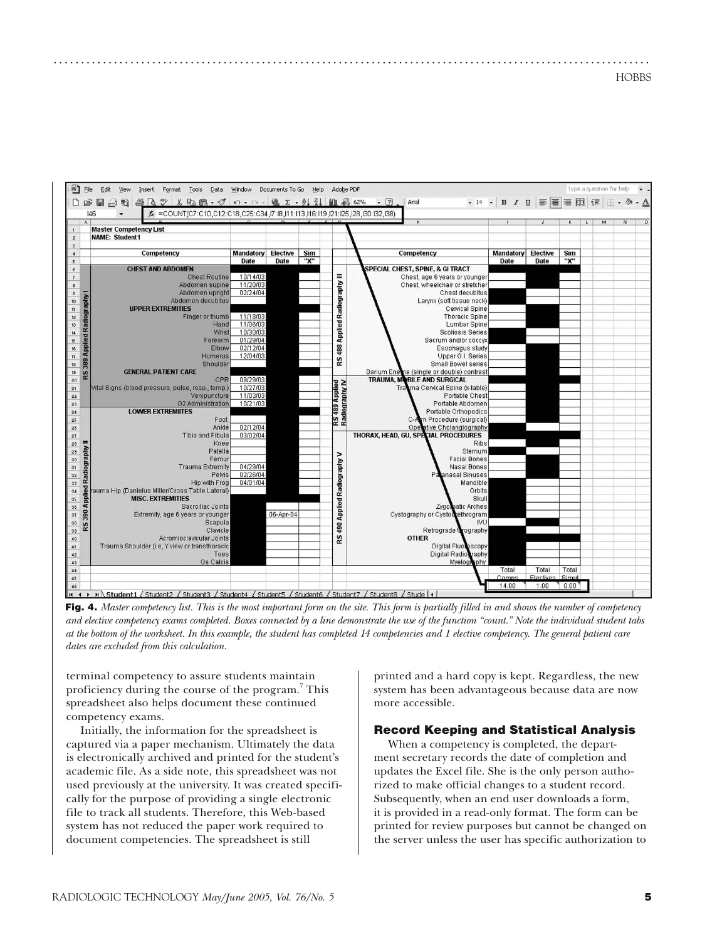**HOBBS** 



.............................................................................................................

**Fig. 4.** *Master competency list. This is the most important form on the site. This form is partially filled in and shows the number of competency and elective competency exams completed. Boxes connected by a line demonstrate the use of the function "count." Note the individual student tabs at the bottom of the worksheet. In this example, the student has completed 14 competencies and 1 elective competency. The general patient care dates are excluded from this calculation.*

terminal competency to assure students maintain proficiency during the course of the program.<sup>7</sup> This spreadsheet also helps document these continued competency exams.

Initially, the information for the spreadsheet is captured via a paper mechanism. Ultimately the data is electronically archived and printed for the student's academic file. As a side note, this spreadsheet was not used previously at the university. It was created specifically for the purpose of providing a single electronic file to track all students. Therefore, this Web-based system has not reduced the paper work required to document competencies. The spreadsheet is still

printed and a hard copy is kept. Regardless, the new system has been advantageous because data are now more accessible.

# **Record Keeping and Statistical Analysis**

When a competency is completed, the department secretary records the date of completion and updates the Excel file. She is the only person authorized to make official changes to a student record. Subsequently, when an end user downloads a form, it is provided in a read-only format. The form can be printed for review purposes but cannot be changed on the server unless the user has specific authorization to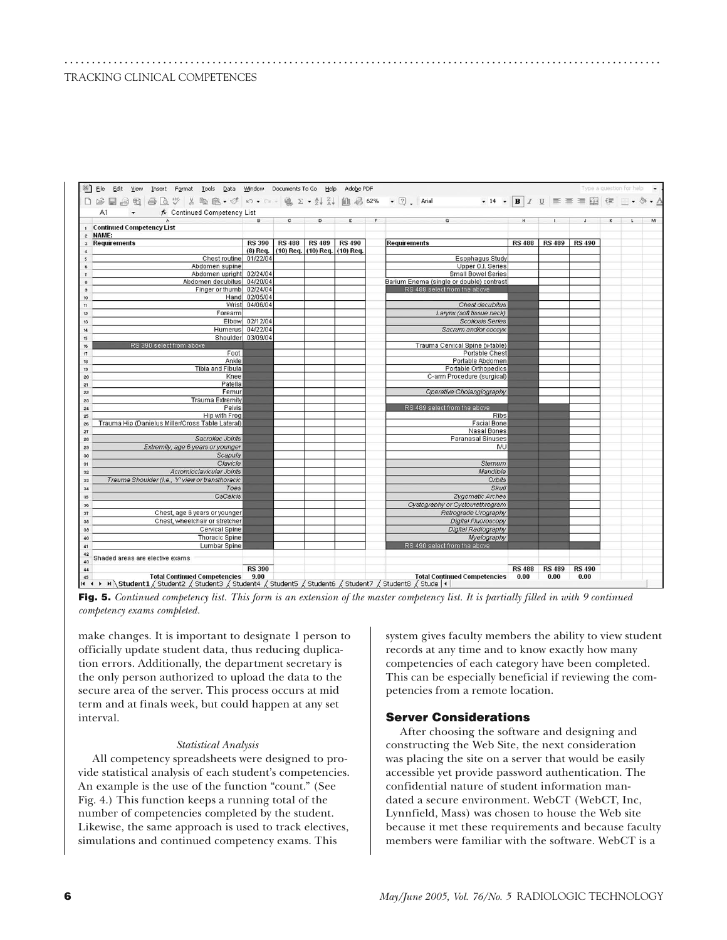| D G B B B B B → B B + O + C + B Σ + 2, X, U B 62% + Q , And - + 14 + B I U E = = E E F D + A + Δ                                                              |                |               |                               |               |   |                                          |               |               |               |          |   |
|---------------------------------------------------------------------------------------------------------------------------------------------------------------|----------------|---------------|-------------------------------|---------------|---|------------------------------------------|---------------|---------------|---------------|----------|---|
| fx Continued Competency List<br>A1<br>$\mathbf{v}$                                                                                                            |                |               |                               |               |   |                                          |               |               |               |          |   |
|                                                                                                                                                               | B              | $\mathbf{c}$  | $\overline{D}$                | E             | F | $\mathbf{G}$                             | H             | $\mathbf{L}$  | J             | $\kappa$ | M |
| <b>Continued Competency List</b><br>$\mathbf{1}$                                                                                                              |                |               |                               |               |   |                                          |               |               |               |          |   |
| 2 NAME:                                                                                                                                                       |                |               |                               |               |   |                                          |               |               |               |          |   |
| <b>Requirements</b><br>$\mathbf{3}$                                                                                                                           | <b>RS 390</b>  | <b>RS 488</b> | <b>RS 489</b>                 | <b>RS 490</b> |   | <b>Requirements</b>                      | <b>RS 488</b> | <b>RS 489</b> | <b>RS 490</b> |          |   |
| $\ddot{\phantom{a}}$                                                                                                                                          | (8) Req.       |               | (10) Req. (10) Req. (10) Req. |               |   |                                          |               |               |               |          |   |
| Chest routine 01/22/04<br>$\overline{\phantom{a}}$                                                                                                            |                |               |                               |               |   | Esophagus Study                          |               |               |               |          |   |
| Abdomen supine<br>6                                                                                                                                           |                |               |                               |               |   | Upper G.I. Series                        |               |               |               |          |   |
| Abdomen upright 02/24/04<br>$\mathbf{r}$                                                                                                                      |                |               |                               |               |   | <b>Small Bowel Series</b>                |               |               |               |          |   |
| Abdomen decubitus 04/20/04<br>$\delta$                                                                                                                        |                |               |                               |               |   | Barium Enema (single or double) contrast |               |               |               |          |   |
| Finger or thumb 02/24/04<br>$\mathbf{s}$                                                                                                                      |                |               |                               |               |   | RS 488 select from the above             |               |               |               |          |   |
| 10                                                                                                                                                            | Hand 02/05/04  |               |                               |               |   |                                          |               |               |               |          |   |
| 11                                                                                                                                                            | Wrist 04/06/04 |               |                               |               |   | Chest decubitus                          |               |               |               |          |   |
| Forearm<br>12                                                                                                                                                 |                |               |                               |               |   | Larynx (soft tissue neck)                |               |               |               |          |   |
| 13                                                                                                                                                            | Elbow 02/12/04 |               |                               |               |   | <b>Scoliosis Series</b>                  |               |               |               |          |   |
| Humerus 04/22/04<br>14                                                                                                                                        |                |               |                               |               |   | Sacrum and/or coccyx                     |               |               |               |          |   |
| Shoulder 03/09/04<br>15                                                                                                                                       |                |               |                               |               |   |                                          |               |               |               |          |   |
| RS 390 select from above<br>16                                                                                                                                |                |               |                               |               |   | Trauma Cervical Spine (x-table)          |               |               |               |          |   |
| Foot<br>17                                                                                                                                                    |                |               |                               |               |   | Portable Chest                           |               |               |               |          |   |
| Ankle<br>18                                                                                                                                                   |                |               |                               |               |   | Portable Abdomen                         |               |               |               |          |   |
| Tibia and Fibula<br>19                                                                                                                                        |                |               |                               |               |   | Portable Orthopedics                     |               |               |               |          |   |
| Knee<br>20                                                                                                                                                    |                |               |                               |               |   | C-arm Procedure (surgical)               |               |               |               |          |   |
| Patella<br>21                                                                                                                                                 |                |               |                               |               |   |                                          |               |               |               |          |   |
| Femur<br>22                                                                                                                                                   |                |               |                               |               |   | Operative Cholangiography                |               |               |               |          |   |
| Trauma Extremity<br>23                                                                                                                                        |                |               |                               |               |   |                                          |               |               |               |          |   |
| Pelvis<br>24                                                                                                                                                  |                |               |                               |               |   | RS 489 select from the above             |               |               |               |          |   |
| Hip with Frog<br>25                                                                                                                                           |                |               |                               |               |   | Ribs                                     |               |               |               |          |   |
| Trauma Hip (Danielus Miller/Cross Table Lateral)<br>26                                                                                                        |                |               |                               |               |   | <b>Facial Bone</b>                       |               |               |               |          |   |
| 27                                                                                                                                                            |                |               |                               |               |   | Nasal Bones                              |               |               |               |          |   |
| Sacrollac Joints<br>28                                                                                                                                        |                |               |                               |               |   | <b>Paranasal Sinuses</b>                 |               |               |               |          |   |
| Extremity, age 6 years or younger<br>29                                                                                                                       |                |               |                               |               |   | IVU                                      |               |               |               |          |   |
| Scapula<br>30                                                                                                                                                 |                |               |                               |               |   |                                          |               |               |               |          |   |
| Clavicle<br>31                                                                                                                                                |                |               |                               |               |   | Sternum                                  |               |               |               |          |   |
| Acromioclavicular Joints<br>32                                                                                                                                |                |               |                               |               |   | Mandible                                 |               |               |               |          |   |
| Trauma Shoulder (I.e., 'Y' view or transthoracic<br>33                                                                                                        |                |               |                               |               |   | Orbits                                   |               |               |               |          |   |
| Toes<br>34                                                                                                                                                    |                |               |                               |               |   | Skull                                    |               |               |               |          |   |
| <b>OsCalcis</b><br>35                                                                                                                                         |                |               |                               |               |   | Zygomatic Arches                         |               |               |               |          |   |
| 36                                                                                                                                                            |                |               |                               |               |   | Cystography or Cystourethrogram          |               |               |               |          |   |
| Chest, age 6 years or younger<br>37                                                                                                                           |                |               |                               |               |   | Retrograde Urography                     |               |               |               |          |   |
| Chest, wheelchair or stretcher<br>38                                                                                                                          |                |               |                               |               |   | Digital Fluoroscopy                      |               |               |               |          |   |
| Cervical Spine<br>33                                                                                                                                          |                |               |                               |               |   | Digital Radiography                      |               |               |               |          |   |
| <b>Thoracic Spine</b><br>40                                                                                                                                   |                |               |                               |               |   | Myelography                              |               |               |               |          |   |
| Lumbar Spine<br>41                                                                                                                                            |                |               |                               |               |   | RS 490 select from the above             |               |               |               |          |   |
| 42                                                                                                                                                            |                |               |                               |               |   |                                          |               |               |               |          |   |
| Shaded areas are elective exams<br>43                                                                                                                         |                |               |                               |               |   |                                          |               |               |               |          |   |
| 44                                                                                                                                                            | <b>RS 390</b>  |               |                               |               |   |                                          | <b>RS 488</b> | <b>RS 489</b> | <b>RS 490</b> |          |   |
| <b>Total Continued Competencies 9.00</b><br>45<br>It ( F ) NStudent1 / Student2 / Student3 / Student4 / Student5 / Student6 / Student7 / Student8 / Stude   4 |                |               |                               |               |   | <b>Total Continued Competencies 0.00</b> |               | 0.00          | 0.00          |          |   |

.............................................................................................................

**Fig. 5.** *Continued competency list. This form is an extension of the master competency list. It is partially filled in with 9 continued competency exams completed.* 

make changes. It is important to designate 1 person to officially update student data, thus reducing duplication errors. Additionally, the department secretary is the only person authorized to upload the data to the secure area of the server. This process occurs at mid term and at finals week, but could happen at any set interval.

#### *Statistical Analysis*

All competency spreadsheets were designed to provide statistical analysis of each student's competencies. An example is the use of the function "count." (See Fig. 4.) This function keeps a running total of the number of competencies completed by the student. Likewise, the same approach is used to track electives, simulations and continued competency exams. This

system gives faculty members the ability to view student records at any time and to know exactly how many competencies of each category have been completed. This can be especially beneficial if reviewing the competencies from a remote location.

# **Server Considerations**

After choosing the software and designing and constructing the Web Site, the next consideration was placing the site on a server that would be easily accessible yet provide password authentication. The confidential nature of student information mandated a secure environment. WebCT (WebCT, Inc, Lynnfield, Mass) was chosen to house the Web site because it met these requirements and because faculty members were familiar with the software. WebCT is a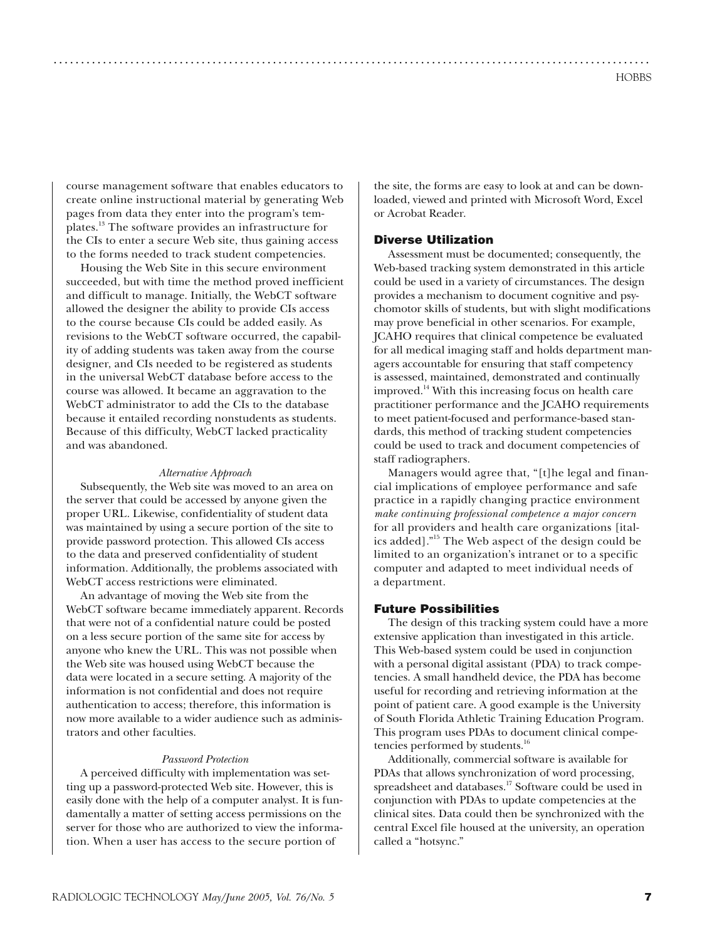course management software that enables educators to create online instructional material by generating Web pages from data they enter into the program's templates.13 The software provides an infrastructure for the CIs to enter a secure Web site, thus gaining access to the forms needed to track student competencies.

Housing the Web Site in this secure environment succeeded, but with time the method proved inefficient and difficult to manage. Initially, the WebCT software allowed the designer the ability to provide CIs access to the course because CIs could be added easily. As revisions to the WebCT software occurred, the capability of adding students was taken away from the course designer, and CIs needed to be registered as students in the universal WebCT database before access to the course was allowed. It became an aggravation to the WebCT administrator to add the CIs to the database because it entailed recording nonstudents as students. Because of this difficulty, WebCT lacked practicality and was abandoned.

#### *Alternative Approach*

Subsequently, the Web site was moved to an area on the server that could be accessed by anyone given the proper URL. Likewise, confidentiality of student data was maintained by using a secure portion of the site to provide password protection. This allowed CIs access to the data and preserved confidentiality of student information. Additionally, the problems associated with WebCT access restrictions were eliminated.

An advantage of moving the Web site from the WebCT software became immediately apparent. Records that were not of a confidential nature could be posted on a less secure portion of the same site for access by anyone who knew the URL. This was not possible when the Web site was housed using WebCT because the data were located in a secure setting. A majority of the information is not confidential and does not require authentication to access; therefore, this information is now more available to a wider audience such as administrators and other faculties.

#### *Password Protection*

A perceived difficulty with implementation was setting up a password-protected Web site. However, this is easily done with the help of a computer analyst. It is fundamentally a matter of setting access permissions on the server for those who are authorized to view the information. When a user has access to the secure portion of

the site, the forms are easy to look at and can be downloaded, viewed and printed with Microsoft Word, Excel or Acrobat Reader.

## **Diverse Utilization**

.............................................................................................................

Assessment must be documented; consequently, the Web-based tracking system demonstrated in this article could be used in a variety of circumstances. The design provides a mechanism to document cognitive and psychomotor skills of students, but with slight modifications may prove beneficial in other scenarios. For example, JCAHO requires that clinical competence be evaluated for all medical imaging staff and holds department managers accountable for ensuring that staff competency is assessed, maintained, demonstrated and continually improved.14 With this increasing focus on health care practitioner performance and the JCAHO requirements to meet patient-focused and performance-based standards, this method of tracking student competencies could be used to track and document competencies of staff radiographers.

Managers would agree that, "[t]he legal and financial implications of employee performance and safe practice in a rapidly changing practice environment *make continuing professional competence a major concern* for all providers and health care organizations [italics added]."15 The Web aspect of the design could be limited to an organization's intranet or to a specific computer and adapted to meet individual needs of a department.

#### **Future Possibilities**

The design of this tracking system could have a more extensive application than investigated in this article. This Web-based system could be used in conjunction with a personal digital assistant (PDA) to track competencies. A small handheld device, the PDA has become useful for recording and retrieving information at the point of patient care. A good example is the University of South Florida Athletic Training Education Program. This program uses PDAs to document clinical competencies performed by students.16

Additionally, commercial software is available for PDAs that allows synchronization of word processing, spreadsheet and databases.<sup>17</sup> Software could be used in conjunction with PDAs to update competencies at the clinical sites. Data could then be synchronized with the central Excel file housed at the university, an operation called a "hotsync."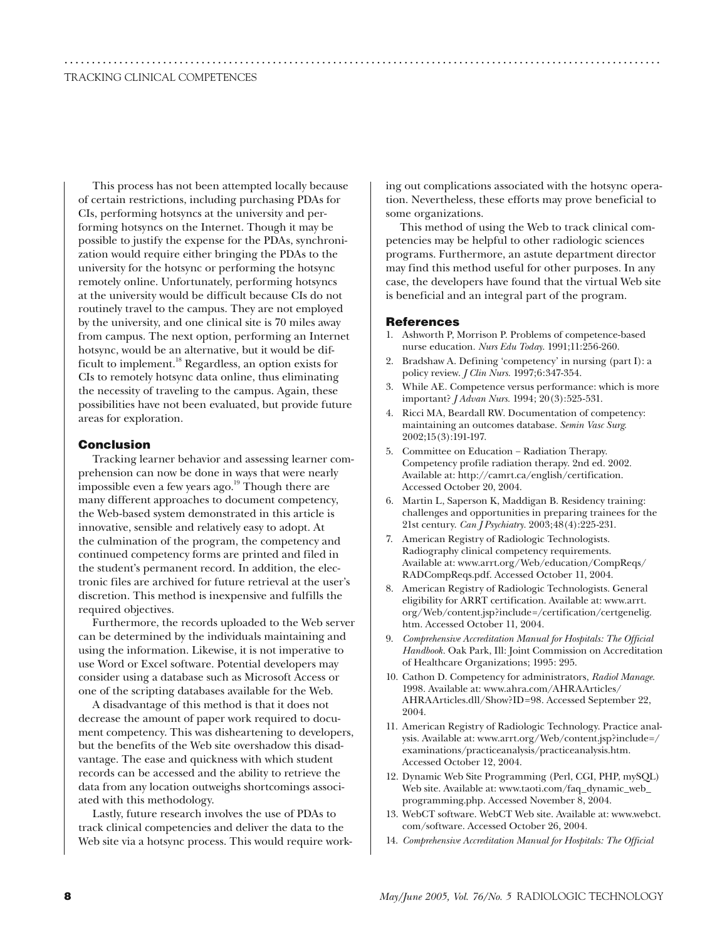This process has not been attempted locally because of certain restrictions, including purchasing PDAs for CIs, performing hotsyncs at the university and performing hotsyncs on the Internet. Though it may be possible to justify the expense for the PDAs, synchronization would require either bringing the PDAs to the university for the hotsync or performing the hotsync remotely online. Unfortunately, performing hotsyncs at the university would be difficult because CIs do not routinely travel to the campus. They are not employed by the university, and one clinical site is 70 miles away from campus. The next option, performing an Internet hotsync, would be an alternative, but it would be difficult to implement.18 Regardless, an option exists for CIs to remotely hotsync data online, thus eliminating the necessity of traveling to the campus. Again, these possibilities have not been evaluated, but provide future areas for exploration.

#### **Conclusion**

Tracking learner behavior and assessing learner comprehension can now be done in ways that were nearly impossible even a few years ago. $19$  Though there are many different approaches to document competency, the Web-based system demonstrated in this article is innovative, sensible and relatively easy to adopt. At the culmination of the program, the competency and continued competency forms are printed and filed in the student's permanent record. In addition, the electronic files are archived for future retrieval at the user's discretion. This method is inexpensive and fulfills the required objectives.

Furthermore, the records uploaded to the Web server can be determined by the individuals maintaining and using the information. Likewise, it is not imperative to use Word or Excel software. Potential developers may consider using a database such as Microsoft Access or one of the scripting databases available for the Web.

A disadvantage of this method is that it does not decrease the amount of paper work required to document competency. This was disheartening to developers, but the benefits of the Web site overshadow this disadvantage. The ease and quickness with which student records can be accessed and the ability to retrieve the data from any location outweighs shortcomings associated with this methodology.

Lastly, future research involves the use of PDAs to track clinical competencies and deliver the data to the Web site via a hotsync process. This would require working out complications associated with the hotsync operation. Nevertheless, these efforts may prove beneficial to some organizations.

This method of using the Web to track clinical competencies may be helpful to other radiologic sciences programs. Furthermore, an astute department director may find this method useful for other purposes. In any case, the developers have found that the virtual Web site is beneficial and an integral part of the program.

#### **References**

.............................................................................................................

- 1. Ashworth P, Morrison P. Problems of competence-based nurse education. *Nurs Edu Today*. 1991;11:256-260.
- Bradshaw A. Defining 'competency' in nursing (part I): a policy review. *J Clin Nurs.* 1997;6:347-354.
- 3. While AE. Competence versus performance: which is more important? *J Advan Nurs.* 1994; 20(3):525-531.
- 4. Ricci MA, Beardall RW. Documentation of competency: maintaining an outcomes database. *Semin Vasc Surg.* 2002;15(3):191-197.
- 5. Committee on Education − Radiation Therapy. Competency profile radiation therapy. 2nd ed. 2002. Available at: http://camrt.ca/english/certification. Accessed October 20, 2004.
- 6. Martin L, Saperson K, Maddigan B. Residency training: challenges and opportunities in preparing trainees for the 21st century. *Can J Psychiatry.* 2003;48(4):225-231.
- 7. American Registry of Radiologic Technologists. Radiography clinical competency requirements. Available at: www.arrt.org/Web/education/CompReqs/ RADCompReqs.pdf. Accessed October 11, 2004.
- 8. American Registry of Radiologic Technologists. General eligibility for ARRT certification. Available at: www.arrt. org/Web/content.jsp?include=/certification/certgenelig. htm. Accessed October 11, 2004.
- 9. *Comprehensive Accreditation Manual for Hospitals: The Official Handbook.* Oak Park, Ill: Joint Commission on Accreditation of Healthcare Organizations; 1995: 295.
- 10. Cathon D. Competency for administrators, *Radiol Manage.* 1998. Available at: www.ahra.com/AHRAArticles/ AHRAArticles.dll/Show?ID=98. Accessed September 22, 2004.
- 11. American Registry of Radiologic Technology. Practice analysis. Available at: www.arrt.org/Web/content.jsp?include=/ examinations/practiceanalysis/practiceanalysis.htm. Accessed October 12, 2004.
- 12. Dynamic Web Site Programming (Perl, CGI, PHP, mySQL) Web site. Available at: www.taoti.com/faq\_dynamic\_web\_ programming.php. Accessed November 8, 2004.
- 13. WebCT software. WebCT Web site. Available at: www.webct. com/software. Accessed October 26, 2004.
- 14. *Comprehensive Accreditation Manual for Hospitals: The Official*